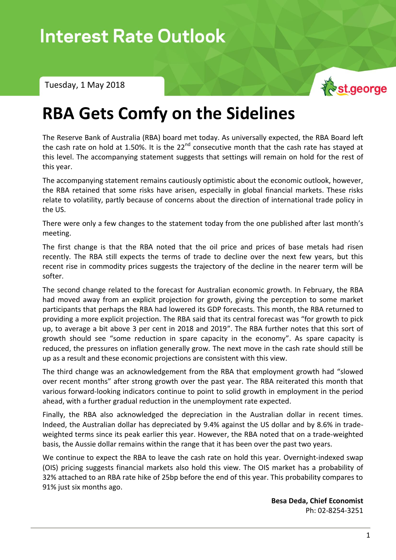Tuesday, 1 May 2018



## **RBA Gets Comfy on the Sidelines**

The Reserve Bank of Australia (RBA) board met today. As universally expected, the RBA Board left the cash rate on hold at 1.50%. It is the  $22^{nd}$  consecutive month that the cash rate has stayed at this level. The accompanying statement suggests that settings will remain on hold for the rest of this year.

The accompanying statement remains cautiously optimistic about the economic outlook, however, the RBA retained that some risks have arisen, especially in global financial markets. These risks relate to volatility, partly because of concerns about the direction of international trade policy in the US.

There were only a few changes to the statement today from the one published after last month's meeting.

The first change is that the RBA noted that the oil price and prices of base metals had risen recently. The RBA still expects the terms of trade to decline over the next few years, but this recent rise in commodity prices suggests the trajectory of the decline in the nearer term will be softer.

The second change related to the forecast for Australian economic growth. In February, the RBA had moved away from an explicit projection for growth, giving the perception to some market participants that perhaps the RBA had lowered its GDP forecasts. This month, the RBA returned to providing a more explicit projection. The RBA said that its central forecast was "for growth to pick up, to average a bit above 3 per cent in 2018 and 2019". The RBA further notes that this sort of growth should see "some reduction in spare capacity in the economy". As spare capacity is reduced, the pressures on inflation generally grow. The next move in the cash rate should still be up as a result and these economic projections are consistent with this view.

The third change was an acknowledgement from the RBA that employment growth had "slowed over recent months" after strong growth over the past year. The RBA reiterated this month that various forward-looking indicators continue to point to solid growth in employment in the period ahead, with a further gradual reduction in the unemployment rate expected.

Finally, the RBA also acknowledged the depreciation in the Australian dollar in recent times. Indeed, the Australian dollar has depreciated by 9.4% against the US dollar and by 8.6% in tradeweighted terms since its peak earlier this year. However, the RBA noted that on a trade-weighted basis, the Aussie dollar remains within the range that it has been over the past two years.

We continue to expect the RBA to leave the cash rate on hold this year. Overnight-indexed swap (OIS) pricing suggests financial markets also hold this view. The OIS market has a probability of 32% attached to an RBA rate hike of 25bp before the end of this year. This probability compares to 91% just six months ago.

> **Besa Deda, Chief Economist** Ph: 02-8254-3251